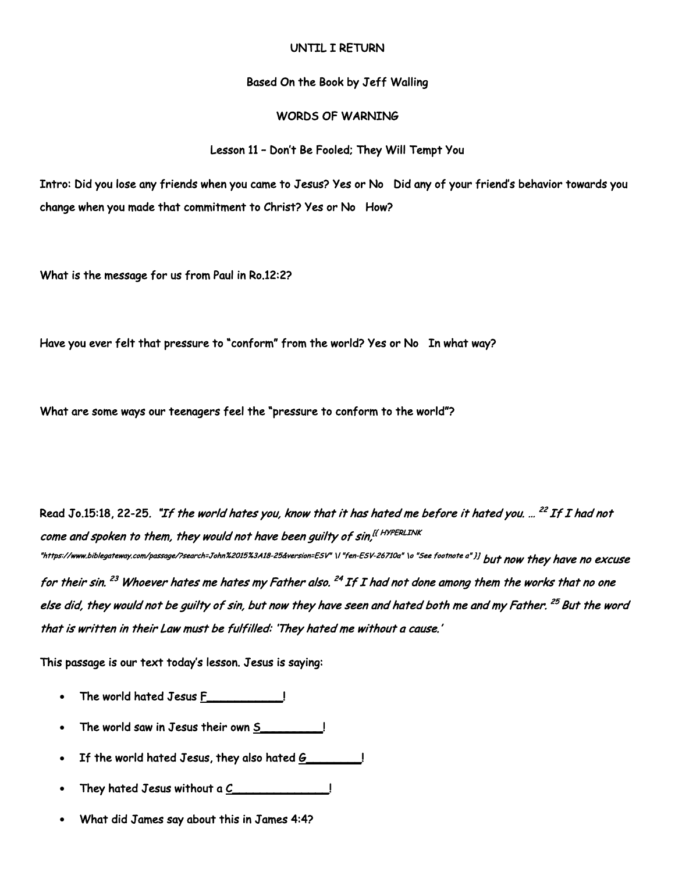### UNTIL I RETURN

#### Based On the Book by Jeff Walling

## WORDS OF WARNING

#### Lesson 11 – Don't Be Fooled; They Will Tempt You

Intro: Did you lose any friends when you came to Jesus? Yes or No Did any of your friend's behavior towards you change when you made that commitment to Christ? Yes or No How?

What is the message for us from Paul in Ro.12:2?

Have you ever felt that pressure to "conform" from the world? Yes or No In what way?

What are some ways our teenagers feel the "pressure to conform to the world"?

Read Jo.15:18, 22-25. *"If the world hates you, know that it has hated me before it hated you. ... <sup>22</sup> If I had not* come and spoken to them, they would not have been quilty of sin,<sup>[{ HYPERLINK</sup> "https://www.biblegateway.com/passage/?search=John%2015%3A18-25&version=ESV" \I "fen-ESV-26710a" \o "See footnote a" }] b**ut now they have no excuse** for their sin. <sup>23</sup> Whoever hates me hates my Father also. <sup>24</sup> If I had not done among them the works that no one else did, they would not be guilty of sin, but now they have seen and hated both me and my Father. <sup>25</sup> But the word that is written in their Law must be fulfilled: 'They hated me without a cause.'

This passage is our text today's lesson. Jesus is saying:

- The world hated Jesus F\_\_\_\_\_\_\_\_\_\_\_!
- The world saw in Jesus their own S\_\_\_\_\_\_\_\_\_!
- If the world hated Jesus, they also hated G\_\_\_\_\_\_\_!
- They hated Jesus without a C\_\_\_\_\_\_\_\_\_\_\_\_\_\_!
- What did James say about this in James 4:4?